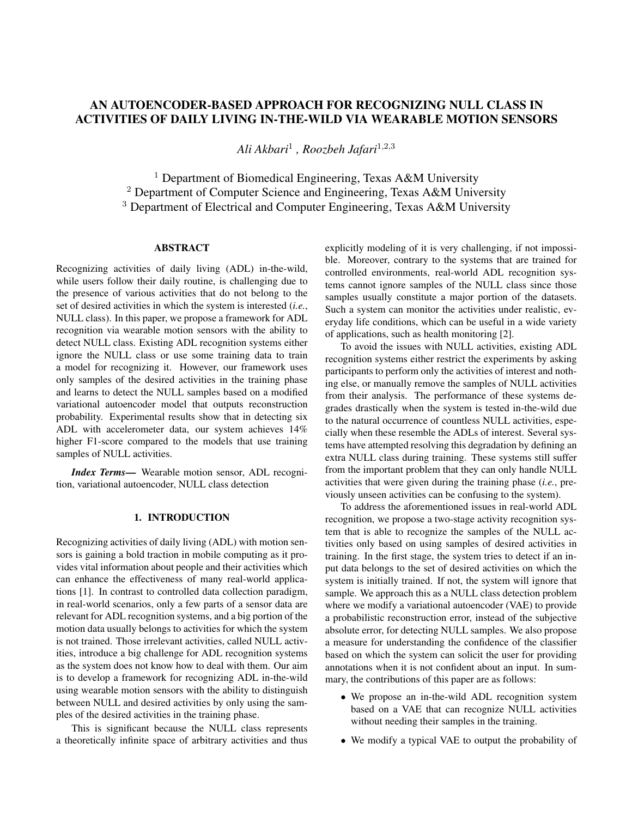# AN AUTOENCODER-BASED APPROACH FOR RECOGNIZING NULL CLASS IN ACTIVITIES OF DAILY LIVING IN-THE-WILD VIA WEARABLE MOTION SENSORS

*Ali Akbari*<sup>1</sup> *, Roozbeh Jafari*<sup>1</sup>,2,<sup>3</sup>

<sup>1</sup> Department of Biomedical Engineering, Texas A&M University <sup>2</sup> Department of Computer Science and Engineering, Texas A&M University <sup>3</sup> Department of Electrical and Computer Engineering, Texas A&M University

## ABSTRACT

Recognizing activities of daily living (ADL) in-the-wild, while users follow their daily routine, is challenging due to the presence of various activities that do not belong to the set of desired activities in which the system is interested (*i.e.*, NULL class). In this paper, we propose a framework for ADL recognition via wearable motion sensors with the ability to detect NULL class. Existing ADL recognition systems either ignore the NULL class or use some training data to train a model for recognizing it. However, our framework uses only samples of the desired activities in the training phase and learns to detect the NULL samples based on a modified variational autoencoder model that outputs reconstruction probability. Experimental results show that in detecting six ADL with accelerometer data, our system achieves 14% higher F1-score compared to the models that use training samples of NULL activities.

*Index Terms*— Wearable motion sensor, ADL recognition, variational autoencoder, NULL class detection

# 1. INTRODUCTION

Recognizing activities of daily living (ADL) with motion sensors is gaining a bold traction in mobile computing as it provides vital information about people and their activities which can enhance the effectiveness of many real-world applications [1]. In contrast to controlled data collection paradigm, in real-world scenarios, only a few parts of a sensor data are relevant for ADL recognition systems, and a big portion of the motion data usually belongs to activities for which the system is not trained. Those irrelevant activities, called NULL activities, introduce a big challenge for ADL recognition systems as the system does not know how to deal with them. Our aim is to develop a framework for recognizing ADL in-the-wild using wearable motion sensors with the ability to distinguish between NULL and desired activities by only using the samples of the desired activities in the training phase.

This is significant because the NULL class represents a theoretically infinite space of arbitrary activities and thus explicitly modeling of it is very challenging, if not impossible. Moreover, contrary to the systems that are trained for controlled environments, real-world ADL recognition systems cannot ignore samples of the NULL class since those samples usually constitute a major portion of the datasets. Such a system can monitor the activities under realistic, everyday life conditions, which can be useful in a wide variety of applications, such as health monitoring [2].

To avoid the issues with NULL activities, existing ADL recognition systems either restrict the experiments by asking participants to perform only the activities of interest and nothing else, or manually remove the samples of NULL activities from their analysis. The performance of these systems degrades drastically when the system is tested in-the-wild due to the natural occurrence of countless NULL activities, especially when these resemble the ADLs of interest. Several systems have attempted resolving this degradation by defining an extra NULL class during training. These systems still suffer from the important problem that they can only handle NULL activities that were given during the training phase (*i.e.*, previously unseen activities can be confusing to the system).

To address the aforementioned issues in real-world ADL recognition, we propose a two-stage activity recognition system that is able to recognize the samples of the NULL activities only based on using samples of desired activities in training. In the first stage, the system tries to detect if an input data belongs to the set of desired activities on which the system is initially trained. If not, the system will ignore that sample. We approach this as a NULL class detection problem where we modify a variational autoencoder (VAE) to provide a probabilistic reconstruction error, instead of the subjective absolute error, for detecting NULL samples. We also propose a measure for understanding the confidence of the classifier based on which the system can solicit the user for providing annotations when it is not confident about an input. In summary, the contributions of this paper are as follows:

- We propose an in-the-wild ADL recognition system based on a VAE that can recognize NULL activities without needing their samples in the training.
- We modify a typical VAE to output the probability of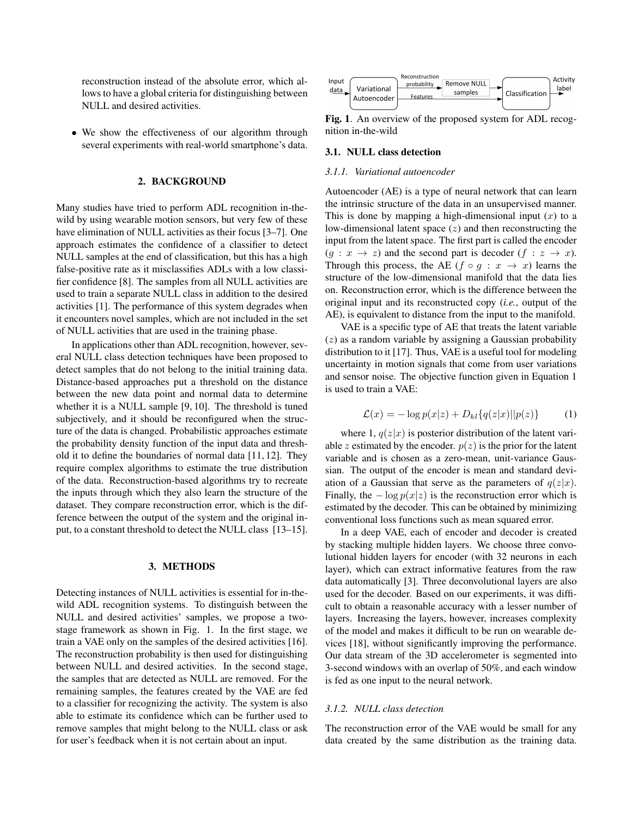reconstruction instead of the absolute error, which allows to have a global criteria for distinguishing between NULL and desired activities.

• We show the effectiveness of our algorithm through several experiments with real-world smartphone's data.

#### 2. BACKGROUND

Many studies have tried to perform ADL recognition in-thewild by using wearable motion sensors, but very few of these have elimination of NULL activities as their focus [3–7]. One approach estimates the confidence of a classifier to detect NULL samples at the end of classification, but this has a high false-positive rate as it misclassifies ADLs with a low classifier confidence [8]. The samples from all NULL activities are used to train a separate NULL class in addition to the desired activities [1]. The performance of this system degrades when it encounters novel samples, which are not included in the set of NULL activities that are used in the training phase.

In applications other than ADL recognition, however, several NULL class detection techniques have been proposed to detect samples that do not belong to the initial training data. Distance-based approaches put a threshold on the distance between the new data point and normal data to determine whether it is a NULL sample [9, 10]. The threshold is tuned subjectively, and it should be reconfigured when the structure of the data is changed. Probabilistic approaches estimate the probability density function of the input data and threshold it to define the boundaries of normal data [11, 12]. They require complex algorithms to estimate the true distribution of the data. Reconstruction-based algorithms try to recreate the inputs through which they also learn the structure of the dataset. They compare reconstruction error, which is the difference between the output of the system and the original input, to a constant threshold to detect the NULL class [13–15].

#### 3. METHODS

Detecting instances of NULL activities is essential for in-thewild ADL recognition systems. To distinguish between the NULL and desired activities' samples, we propose a twostage framework as shown in Fig. 1. In the first stage, we train a VAE only on the samples of the desired activities [16]. The reconstruction probability is then used for distinguishing between NULL and desired activities. In the second stage, the samples that are detected as NULL are removed. For the remaining samples, the features created by the VAE are fed to a classifier for recognizing the activity. The system is also able to estimate its confidence which can be further used to remove samples that might belong to the NULL class or ask for user's feedback when it is not certain about an input.



Fig. 1. An overview of the proposed system for ADL recognition in-the-wild

#### 3.1. NULL class detection

## *3.1.1. Variational autoencoder*

Autoencoder (AE) is a type of neural network that can learn the intrinsic structure of the data in an unsupervised manner. This is done by mapping a high-dimensional input  $(x)$  to a low-dimensional latent space  $(z)$  and then reconstructing the input from the latent space. The first part is called the encoder  $(g: x \to z)$  and the second part is decoder  $(f: z \to x)$ . Through this process, the AE  $(f \circ g : x \to x)$  learns the structure of the low-dimensional manifold that the data lies on. Reconstruction error, which is the difference between the original input and its reconstructed copy (*i.e.*, output of the AE), is equivalent to distance from the input to the manifold.

VAE is a specific type of AE that treats the latent variable  $(z)$  as a random variable by assigning a Gaussian probability distribution to it [17]. Thus, VAE is a useful tool for modeling uncertainty in motion signals that come from user variations and sensor noise. The objective function given in Equation 1 is used to train a VAE:

$$
\mathcal{L}(x) = -\log p(x|z) + D_{kl} \{ q(z|x) || p(z) \}
$$
 (1)

where 1,  $q(z|x)$  is posterior distribution of the latent variable z estimated by the encoder.  $p(z)$  is the prior for the latent variable and is chosen as a zero-mean, unit-variance Gaussian. The output of the encoder is mean and standard deviation of a Gaussian that serve as the parameters of  $q(z|x)$ . Finally, the  $-\log p(x|z)$  is the reconstruction error which is estimated by the decoder. This can be obtained by minimizing conventional loss functions such as mean squared error.

In a deep VAE, each of encoder and decoder is created by stacking multiple hidden layers. We choose three convolutional hidden layers for encoder (with 32 neurons in each layer), which can extract informative features from the raw data automatically [3]. Three deconvolutional layers are also used for the decoder. Based on our experiments, it was difficult to obtain a reasonable accuracy with a lesser number of layers. Increasing the layers, however, increases complexity of the model and makes it difficult to be run on wearable devices [18], without significantly improving the performance. Our data stream of the 3D accelerometer is segmented into 3-second windows with an overlap of 50%, and each window is fed as one input to the neural network.

# *3.1.2. NULL class detection*

The reconstruction error of the VAE would be small for any data created by the same distribution as the training data.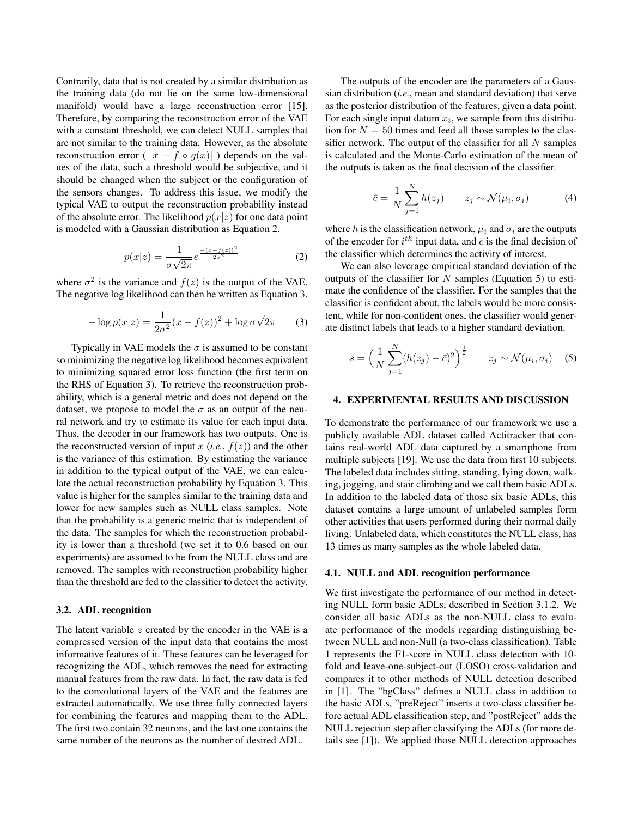Contrarily, data that is not created by a similar distribution as the training data (do not lie on the same low-dimensional manifold) would have a large reconstruction error [15]. Therefore, by comparing the reconstruction error of the VAE with a constant threshold, we can detect NULL samples that are not similar to the training data. However, as the absolute reconstruction error (  $|x - f \circ q(x)|$  ) depends on the values of the data, such a threshold would be subjective, and it should be changed when the subject or the configuration of the sensors changes. To address this issue, we modify the typical VAE to output the reconstruction probability instead of the absolute error. The likelihood  $p(x|z)$  for one data point is modeled with a Gaussian distribution as Equation 2.

$$
p(x|z) = \frac{1}{\sigma\sqrt{2\pi}}e^{\frac{-(x-f(z))^2}{2\sigma^2}}
$$
 (2)

where  $\sigma^2$  is the variance and  $f(z)$  is the output of the VAE. The negative log likelihood can then be written as Equation 3.

$$
-\log p(x|z) = \frac{1}{2\sigma^2}(x - f(z))^2 + \log \sigma \sqrt{2\pi}
$$
 (3)

Typically in VAE models the  $\sigma$  is assumed to be constant so minimizing the negative log likelihood becomes equivalent to minimizing squared error loss function (the first term on the RHS of Equation 3). To retrieve the reconstruction probability, which is a general metric and does not depend on the dataset, we propose to model the  $\sigma$  as an output of the neural network and try to estimate its value for each input data. Thus, the decoder in our framework has two outputs. One is the reconstructed version of input x  $(i.e., f(z))$  and the other is the variance of this estimation. By estimating the variance in addition to the typical output of the VAE, we can calculate the actual reconstruction probability by Equation 3. This value is higher for the samples similar to the training data and lower for new samples such as NULL class samples. Note that the probability is a generic metric that is independent of the data. The samples for which the reconstruction probability is lower than a threshold (we set it to 0.6 based on our experiments) are assumed to be from the NULL class and are removed. The samples with reconstruction probability higher than the threshold are fed to the classifier to detect the activity.

## 3.2. ADL recognition

The latent variable  $z$  created by the encoder in the VAE is a compressed version of the input data that contains the most informative features of it. These features can be leveraged for recognizing the ADL, which removes the need for extracting manual features from the raw data. In fact, the raw data is fed to the convolutional layers of the VAE and the features are extracted automatically. We use three fully connected layers for combining the features and mapping them to the ADL. The first two contain 32 neurons, and the last one contains the same number of the neurons as the number of desired ADL.

The outputs of the encoder are the parameters of a Gaussian distribution (*i.e.*, mean and standard deviation) that serve as the posterior distribution of the features, given a data point. For each single input datum  $x_i$ , we sample from this distribution for  $N = 50$  times and feed all those samples to the classifier network. The output of the classifier for all  $N$  samples is calculated and the Monte-Carlo estimation of the mean of the outputs is taken as the final decision of the classifier.

$$
\bar{c} = \frac{1}{N} \sum_{j=1}^{N} h(z_j) \qquad z_j \sim \mathcal{N}(\mu_i, \sigma_i) \tag{4}
$$

where h is the classification network,  $\mu_i$  and  $\sigma_i$  are the outputs of the encoder for  $i^{th}$  input data, and  $\bar{c}$  is the final decision of the classifier which determines the activity of interest.

We can also leverage empirical standard deviation of the outputs of the classifier for  $N$  samples (Equation 5) to estimate the confidence of the classifier. For the samples that the classifier is confident about, the labels would be more consistent, while for non-confident ones, the classifier would generate distinct labels that leads to a higher standard deviation.

$$
s = \left(\frac{1}{N} \sum_{j=1}^{N} (h(z_j) - \bar{c})^2\right)^{\frac{1}{2}} \qquad z_j \sim \mathcal{N}(\mu_i, \sigma_i) \quad (5)
$$

#### 4. EXPERIMENTAL RESULTS AND DISCUSSION

To demonstrate the performance of our framework we use a publicly available ADL dataset called Actitracker that contains real-world ADL data captured by a smartphone from multiple subjects [19]. We use the data from first 10 subjects. The labeled data includes sitting, standing, lying down, walking, jogging, and stair climbing and we call them basic ADLs. In addition to the labeled data of those six basic ADLs, this dataset contains a large amount of unlabeled samples form other activities that users performed during their normal daily living. Unlabeled data, which constitutes the NULL class, has 13 times as many samples as the whole labeled data.

#### 4.1. NULL and ADL recognition performance

We first investigate the performance of our method in detecting NULL form basic ADLs, described in Section 3.1.2. We consider all basic ADLs as the non-NULL class to evaluate performance of the models regarding distinguishing between NULL and non-Null (a two-class classification). Table 1 represents the F1-score in NULL class detection with 10 fold and leave-one-subject-out (LOSO) cross-validation and compares it to other methods of NULL detection described in [1]. The "bgClass" defines a NULL class in addition to the basic ADLs, "preReject" inserts a two-class classifier before actual ADL classification step, and "postReject" adds the NULL rejection step after classifying the ADLs (for more details see [1]). We applied those NULL detection approaches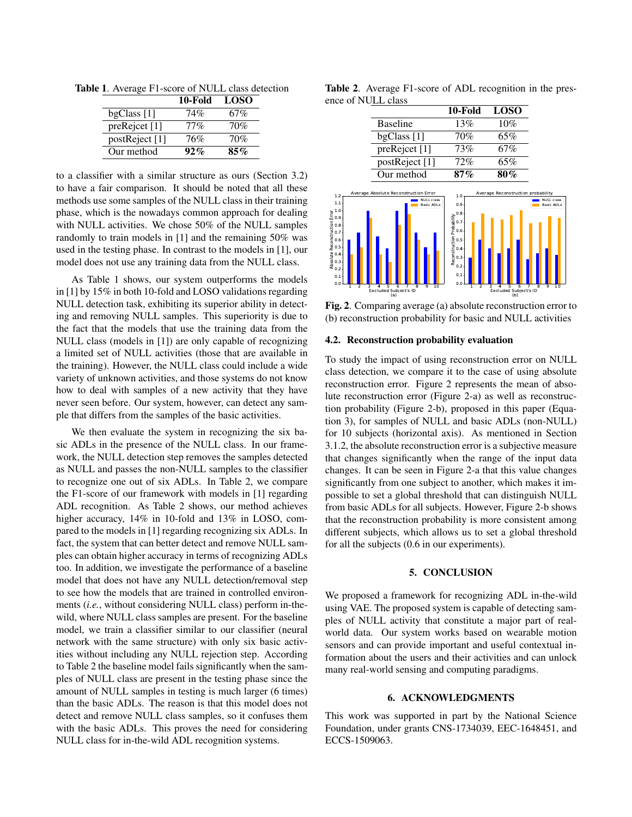|                | 10-Fold | <b>LOSO</b> |
|----------------|---------|-------------|
| bgClass [1]    | 74%     | 67%         |
| preRejcet [1]  | 77%     | 70%         |
| postReject [1] | 76%     | 70%         |
| Our method     | 92%     | $85\%$      |

Table 1. Average F1-score of NULL class detection

to a classifier with a similar structure as ours (Section 3.2) to have a fair comparison. It should be noted that all these methods use some samples of the NULL class in their training phase, which is the nowadays common approach for dealing with NULL activities. We chose 50% of the NULL samples randomly to train models in [1] and the remaining 50% was used in the testing phase. In contrast to the models in [1], our model does not use any training data from the NULL class.

As Table 1 shows, our system outperforms the models in [1] by 15% in both 10-fold and LOSO validations regarding NULL detection task, exhibiting its superior ability in detecting and removing NULL samples. This superiority is due to the fact that the models that use the training data from the NULL class (models in [1]) are only capable of recognizing a limited set of NULL activities (those that are available in the training). However, the NULL class could include a wide variety of unknown activities, and those systems do not know how to deal with samples of a new activity that they have never seen before. Our system, however, can detect any sample that differs from the samples of the basic activities.

We then evaluate the system in recognizing the six basic ADLs in the presence of the NULL class. In our framework, the NULL detection step removes the samples detected as NULL and passes the non-NULL samples to the classifier to recognize one out of six ADLs. In Table 2, we compare the F1-score of our framework with models in [1] regarding ADL recognition. As Table 2 shows, our method achieves higher accuracy,  $14\%$  in 10-fold and  $13\%$  in LOSO, compared to the models in [1] regarding recognizing six ADLs. In fact, the system that can better detect and remove NULL samples can obtain higher accuracy in terms of recognizing ADLs too. In addition, we investigate the performance of a baseline model that does not have any NULL detection/removal step to see how the models that are trained in controlled environments (*i.e.*, without considering NULL class) perform in-thewild, where NULL class samples are present. For the baseline model, we train a classifier similar to our classifier (neural network with the same structure) with only six basic activities without including any NULL rejection step. According to Table 2 the baseline model fails significantly when the samples of NULL class are present in the testing phase since the amount of NULL samples in testing is much larger (6 times) than the basic ADLs. The reason is that this model does not detect and remove NULL class samples, so it confuses them with the basic ADLs. This proves the need for considering NULL class for in-the-wild ADL recognition systems.

Table 2. Average F1-score of ADL recognition in the presence of NULL class

|                                                                                                                                                                                                                                                                                                                                                |                                                                                                                                                                                      | 10-Fold                                                                                        | <b>LOSO</b>                                                                                   |                                                              |
|------------------------------------------------------------------------------------------------------------------------------------------------------------------------------------------------------------------------------------------------------------------------------------------------------------------------------------------------|--------------------------------------------------------------------------------------------------------------------------------------------------------------------------------------|------------------------------------------------------------------------------------------------|-----------------------------------------------------------------------------------------------|--------------------------------------------------------------|
|                                                                                                                                                                                                                                                                                                                                                | <b>Baseline</b>                                                                                                                                                                      | 13%                                                                                            | 10%                                                                                           |                                                              |
|                                                                                                                                                                                                                                                                                                                                                | bgClass [1]                                                                                                                                                                          | 70%                                                                                            | 65%                                                                                           |                                                              |
|                                                                                                                                                                                                                                                                                                                                                | preRejcet [1]                                                                                                                                                                        | 73%                                                                                            | 67%                                                                                           |                                                              |
|                                                                                                                                                                                                                                                                                                                                                | postReject [1]                                                                                                                                                                       | 72%                                                                                            | 65%                                                                                           |                                                              |
|                                                                                                                                                                                                                                                                                                                                                | Our method                                                                                                                                                                           | 87%                                                                                            | 80%                                                                                           |                                                              |
| 1.2<br>1.1<br>Absolute Reconstruction Error<br>$0.9$<br>$0.9$<br>$0.9$<br>$0.9$<br>$0.9$<br>$0.9$<br>$0.9$<br>$0.9$<br>$0.9$<br>$0.9$<br>$0.9$<br>$0.9$<br>$0.9$<br>$0.9$<br>$0.9$<br>$0.9$<br>$0.9$<br>$0.9$<br>$0.9$<br>$0.9$<br>$0.9$<br>$0.9$<br>$0.9$<br>$0.9$<br>$0.9$<br>$0.9$<br>$0.9$<br><br>$0.1 -$<br>0.0<br>ż<br>$\mathbf{1}$<br>3 | Average Absolute Reconstruction Error<br><b>NULL class</b><br><b>Basic ADLs</b><br>Ť<br>$\overline{10}$<br>Ś<br>6<br>ġ<br>ġ<br>$\overline{a}$<br><b>Excluded Subject's ID</b><br>(a) | 1.0<br>0.9<br>Reconstruction Probability<br>၁ ၁ ၁ ၁ ၁ ၁<br>၁ ၁ ၁ ၁ ၁ ၁<br>0.1<br>0.0<br>ż<br>1 | Average Reconstruction probability<br>ż<br>Ŝ<br>6<br>4<br><b>Excluded Subject's ID</b><br>(b) | <b>NULL class</b><br><b>Basic ADLs</b><br>ż<br>ġ<br>Ġ,<br>10 |

Fig. 2. Comparing average (a) absolute reconstruction error to (b) reconstruction probability for basic and NULL activities

## 4.2. Reconstruction probability evaluation

To study the impact of using reconstruction error on NULL class detection, we compare it to the case of using absolute reconstruction error. Figure 2 represents the mean of absolute reconstruction error (Figure 2-a) as well as reconstruction probability (Figure 2-b), proposed in this paper (Equation 3), for samples of NULL and basic ADLs (non-NULL) for 10 subjects (horizontal axis). As mentioned in Section 3.1.2, the absolute reconstruction error is a subjective measure that changes significantly when the range of the input data changes. It can be seen in Figure 2-a that this value changes significantly from one subject to another, which makes it impossible to set a global threshold that can distinguish NULL from basic ADLs for all subjects. However, Figure 2-b shows that the reconstruction probability is more consistent among different subjects, which allows us to set a global threshold for all the subjects (0.6 in our experiments).

## 5. CONCLUSION

We proposed a framework for recognizing ADL in-the-wild using VAE. The proposed system is capable of detecting samples of NULL activity that constitute a major part of realworld data. Our system works based on wearable motion sensors and can provide important and useful contextual information about the users and their activities and can unlock many real-world sensing and computing paradigms.

# 6. ACKNOWLEDGMENTS

This work was supported in part by the National Science Foundation, under grants CNS-1734039, EEC-1648451, and ECCS-1509063.